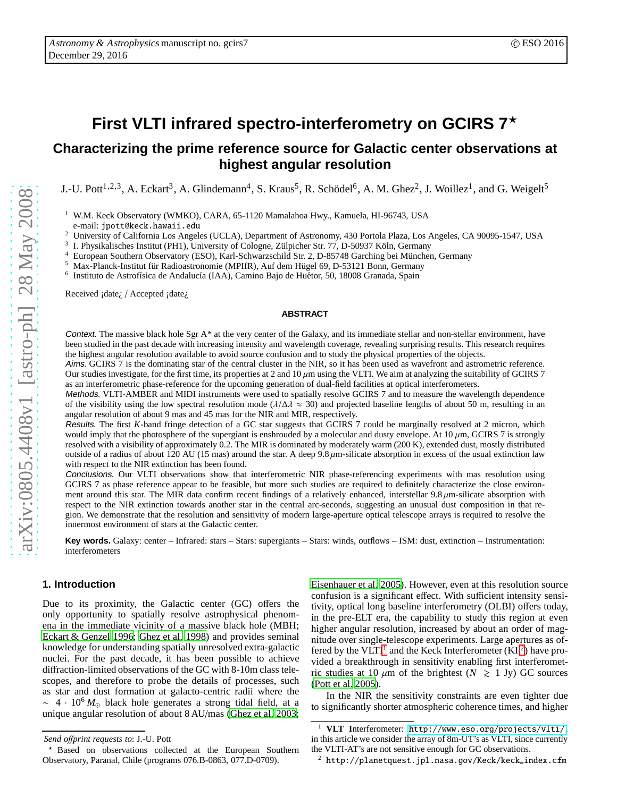# **First VLTI infrared spectro-interferometry on GCIRS 7** ⋆

## **Characterizing the prime reference source for Galactic center observations at highest angular resolution**

J.-U. Pott<sup>1,2,3</sup>, A. Eckart<sup>3</sup>, A. Glindemann<sup>4</sup>, S. Kraus<sup>5</sup>, R. Schödel<sup>6</sup>, A. M. Ghez<sup>2</sup>, J. Woillez<sup>1</sup>, and G. Weigelt<sup>5</sup>

<sup>1</sup> W.M. Keck Observatory (WMKO), CARA, 65-1120 Mamalahoa Hwy., Kamuela, HI-96743, USA e-mail: jpott@keck.hawaii.edu

3 I. Physikalisches Institut (PH1), University of Cologne, Zülpicher Str. 77, D-50937 Köln, Germany

European Southern Observatory (ESO), Karl-Schwarzschild Str. 2, D-85748 Garching bei München, Germany

Max-Planck-Institut für Radioastronomie (MPIfR), Auf dem Hügel 69, D-53121 Bonn, Germany

6 Instituto de Astrofísica de Andalucía (IAA), Camino Bajo de Huétor, 50, 18008 Granada, Spain

Received ¡date<sub>i</sub> / Accepted ¡date<sub>i</sub>

#### <span id="page-0-2"></span>**ABSTRACT**

Context. The massive black hole Sgr  $A^*$  at the very center of the Galaxy, and its immediate stellar and non-stellar environment, have been studied in the past decade with increasing intensity and wavelength coverage, revealing surprising results. This research requires the highest angular resolution available to avoid source confusion and to study the physical properties of the objects.

Aims. GCIRS 7 is the dominating star of the central cluster in the NIR, so it has been used as wavefront and astrometric reference . Our studies investigate, for the first time, its properties at 2 and  $10 \mu m$  using the VLTI. We aim at analyzing the suitability of GCIRS 7 as an interferometric phase-reference for the upcoming generation of dual-field facilities at optical interferometers.

Methods. VLTI-AMBER and MIDI instruments were used to spatially resolve GCIRS 7 and to measure the wavelength dependence of the visibility using the low spectral resolution mode ( $\lambda/\Delta\lambda \approx 30$ ) and projected baseline lengths of about 50 m, resulting in an angular resolution of about 9 mas and 45 mas for the NIR and MIR, respectively.

Results. The first *K*-band fringe detection of a GC star suggests that GCIRS 7 could be marginally resolved at 2 micron, which would imply that the photosphere of the supergiant is enshrouded by a molecular and dusty envelope. At  $10 \mu m$ , GCIRS 7 is strongly resolved with a visibility of approximately 0.2. The MIR is dominated by moderately warm (200 K), extended dust, mostly distributed outside of a radius of about 120 AU (15 mas) around the star. A deep  $9.8 \mu$ m-silicate absorption in excess of the usual extinction law with respect to the NIR extinction has been found.

Conclusions. Our VLTI observations show that interferometric NIR phase-referencing experiments with mas resolution using GCIRS 7 as phase reference appear to be feasible, but more such studies are required to definitely characterize the close environment around this star. The MIR data confirm recent findings of a relatively enhanced, interstellar  $9.8 \mu$ m-silicate absorption with respect to the NIR extinction towards another star in the central arc-seconds, suggesting an unusual dust composition in that region. We demonstrate that the resolution and sensitivity of modern large-aperture optical telescope arrays is required to resolve the innermost environment of stars at the Galactic center.

Key words. Galaxy: center – Infrared: stars – Stars: supergiants – Stars: winds, outflows – ISM: dust, extinction – Instrumentation: interferometers

#### <span id="page-0-3"></span>**1. Introduction**

Due to its proximity, the Galactic center (GC) o ffers the only opportunity to spatially resolve astrophysical phenomena in the immediate vicinity of a massive black hole (MBH; [Eckart & Genzel 1996](#page-5-0); [Ghez et al. 1998\)](#page-5-1) and provides seminal knowledge for understanding spatially unresolved extra-galactic nuclei. For the past decade, it has been possible to achieve di ffraction-limited observations of the GC with 8-10m class telescopes, and therefore to probe the details of processes, such as star and dust formation at galacto-centric radii where th e  $\sim$  4 · 10<sup>6</sup>  $M_{\odot}$  black hole generates a strong tidal field, at a unique angular resolution of about 8 AU/mas [\(Ghez et al. 2003](#page-5-2); [Eisenhauer et al. 2005\)](#page-5-3). However, even at this resolution source confusion is a significant e ffect. With su fficient intensity sensitivity, optical long baseline interferometry (OLBI) offers today, in the pre-ELT era, the capability to study this region at eve n higher angular resolution, increased by about an order of magnitude over single-telescope experiments. Large apertures as of-fered by the VLTI<sup>[1](#page-0-0)</sup> and the Keck Interferometer (KI<sup>[2](#page-0-1)</sup>) have provided a breakthrough in sensitivity enabling first interferometric studies at 10  $\mu$ m of the brightest ( $N \ge 1$  Jy) GC sources [\(Pott et al. 2005\)](#page-5-4).

In the NIR the sensitivity constraints are even tighter due to significantly shorter atmospheric coherence times, and higher

<sup>2</sup> University of California Los Angeles (UCLA), Department of Astronomy, 430 Portola Plaza, Los Angeles, CA 90095-1547, USA

*Send o*ff*print requests to*: J.-U. Pott

Based on observations collected at the European Southern Observatory, Paranal, Chile (programs 076.B-0863, 077.D-0709).

<span id="page-0-0"></span><sup>1</sup> **VLT I**nterferometer: <http://www.eso.org/projects/vlti/>, in this article we consider the array of 8m-UT's as VLTI, since currently the VLTI-AT's are not sensitive enough for GC observations.

<span id="page-0-1"></span> $2$  http://planetquest.jpl.nasa.gov/Keck/keck\_index.cfm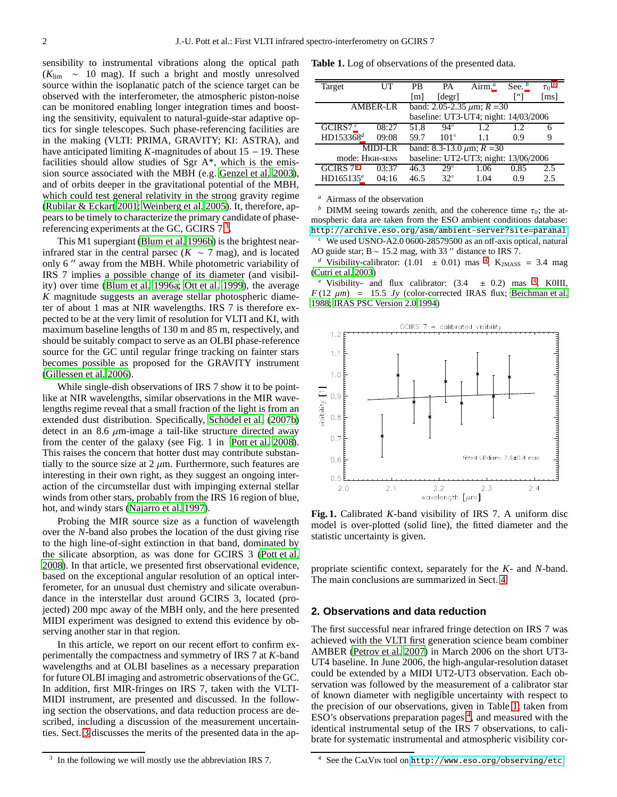sensibility to instrumental vibrations along the optical path (*K*lim ∼ 10 mag). If such a bright and mostly unresolved source within the isoplanatic patch of the science target can be observed with the interferometer, the atmospheric piston-noise can be monitored enabling longer integration times and boosting the sensitivity, equivalent to natural-guide-star adaptive optics for single telescopes. Such phase-referencing facilities are in the making (VLTI: PRIMA, GRAVITY; KI: ASTRA), and have anticipated limiting *K*-magnitudes of about 15 − 19. These facilities should allow studies of Sgr A\*, which is the emission source associated with the MBH (e.g. [Genzel et al. 2003](#page-5-5)), and of orbits deeper in the gravitational potential of the MBH, which could test general relativity in the strong gravity regime [\(Rubilar & Eckart 2001;](#page-5-6) [Weinberg et al. 2005](#page-5-7)). It, therefore, appears to be timely to characterize the primary candidate of phasereferencing experiments at the GC, GCIRS  $7<sup>3</sup>$  $7<sup>3</sup>$  $7<sup>3</sup>$ .

This M1 supergiant [\(Blum et al. 1996b\)](#page-4-0) is the brightest nearinfrared star in the central parsec ( $K \sim 7$  mag), and is located only 6 ′′ away from the MBH. While photometric variability of IRS 7 implies a possible change of its diameter (and visibility) over time [\(Blum et al. 1996a;](#page-4-1) [Ott et al. 1999](#page-5-8)), the average *K* magnitude suggests an average stellar photospheric diameter of about 1 mas at NIR wavelengths. IRS 7 is therefore expected to be at the very limit of resolution for VLTI and KI, with maximum baseline lengths of 130 m and 85 m, respectively, and should be suitably compact to serve as an OLBI phase-reference source for the GC until regular fringe tracking on fainter stars becomes possible as proposed for the GRAVITY instrument [\(Gillessen et al. 2006\)](#page-5-9).

While single-dish observations of IRS 7 show it to be pointlike at NIR wavelengths, similar observations in the MIR wavelengths regime reveal that a small fraction of the light is from an extended dust distribution. Specifically, Schödel et al. [\(2007b\)](#page-5-10) detect in an 8.6  $\mu$ m-image a tail-like structure directed away from the center of the galaxy (see Fig. 1 in [Pott et al. 2008](#page-5-11)). This raises the concern that hotter dust may contribute substantially to the source size at  $2 \mu m$ . Furthermore, such features are interesting in their own right, as they suggest an ongoing interaction of the circumstellar dust with impinging external stellar winds from other stars, probably from the IRS 16 region of blue, hot, and windy stars [\(Najarro et al. 1997\)](#page-5-12).

Probing the MIR source size as a function of wavelength over the *N*-band also probes the location of the dust giving rise to the high line-of-sight extinction in that band, dominated by the silicate absorption, as was done for GCIRS 3 [\(Pott et al.](#page-5-11) [2008](#page-5-11)). In that article, we presented first observational evidence, based on the exceptional angular resolution of an optical interferometer, for an unusual dust chemistry and silicate overabundance in the interstellar dust around GCIRS 3, located (projected) 200 mpc away of the MBH only, and the here presented MIDI experiment was designed to extend this evidence by observing another star in that region.

In this article, we report on our recent effort to confirm experimentally the compactness and symmetry of IRS 7 at *K*-band wavelengths and at OLBI baselines as a necessary preparation for future OLBI imaging and astrometric observations of the GC. In addition, first MIR-fringes on IRS 7, taken with the VLTI-MIDI instrument, are presented and discussed. In the following section the observations, and data reduction process are described, including a discussion of the measurement uncertainties. Sect. [3](#page-3-0) discusses the merits of the presented data in the ap-

**Table 1.** Log of observations of the presented data.

<span id="page-1-2"></span>

| Target                               | UT                              | PB                                   | PА                          | Airm. $^a$ | See. | $\tau_0$ |
|--------------------------------------|---------------------------------|--------------------------------------|-----------------------------|------------|------|----------|
|                                      |                                 | $\lceil m \rceil$                    | $\lceil \text{degr} \rceil$ |            |      | ms       |
| AMBER-LR                             | band: 2.05-2.35 $\mu$ m; R = 30 |                                      |                             |            |      |          |
| baseline: UT3-UT4; night: 14/03/2006 |                                 |                                      |                             |            |      |          |
| GCIRS7 $^c$                          | 08:27                           | 51.8                                 | $94^\circ$                  | 12         | 1.2. | 6        |
| HD153368 <sup>d</sup>                | 09:08                           | 59.7                                 | $101^\circ$                 | 1.1        | 0.9  | 9        |
| <b>MIDI-LR</b>                       |                                 | band: $8.3 - 13.0 \mu m$ ; $R = 30$  |                             |            |      |          |
| mode: HIGH-SENS                      |                                 | baseline: UT2-UT3; night: 13/06/2006 |                             |            |      |          |
| GCIRS $7c$                           | 03:37                           | 46.3                                 | $29^\circ$                  | 1.06       | 0.85 | 2.5      |
| HD165135 $e$                         | 04:16                           | 46.5                                 | $32^\circ$                  | 1.04       | 0.9  | 2.5      |

<span id="page-1-1"></span>*<sup>a</sup>* Airmass of the observation

*b* DIMM seeing towards zenith, and the coherence time  $\tau_0$ ; the atmospheric data are taken from the ESO ambient conditions database: <http://archive.eso.org/asm/ambient-server?site=paranal>

*<sup>c</sup>* We used USNO-A2.0 0600-28579500 as an off-axis optical, natural AO guide star; B  $\sim$  15.2 mag, with 33  $\%$  distance to IRS 7.

<span id="page-1-3"></span><sup>*d*</sup> Visibility-calibrator:  $(1.01 \pm 0.01)$  mas <sup>[4](#page-1-5)</sup>, K<sub>2MASS</sub> = 3.4 mag [\(Cutri et al. 2003](#page-5-13))

<span id="page-1-4"></span><sup>e</sup> Visibility- and flux calibrator:  $(3.4 \pm 0.2)$  $(3.4 \pm 0.2)$  $(3.4 \pm 0.2)$  mas <sup>4</sup>, K0III,  $F(12 \mu m) = 15.5 \text{ Jy}$  (color-corrected IRAS flux; [Beichman et al.](#page-4-2) [1988;](#page-4-2) [IRAS PSC Version 2.0 1994](#page-5-14))



<span id="page-1-6"></span>**Fig. 1.** Calibrated *K*-band visibility of IRS 7. A uniform disc model is over-plotted (solid line), the fitted diameter and the statistic uncertainty is given.

propriate scientific context, separately for the *K*- and *N*-band. The main conclusions are summarized in Sect. [4.](#page-4-3)

#### **2. Observations and data reduction**

The first successful near infrared fringe detection on IRS 7 was achieved with the VLTI first generation science beam combiner AMBER [\(Petrov et al. 2007\)](#page-5-15) in March 2006 on the short UT3- UT4 baseline. In June 2006, the high-angular-resolution dataset could be extended by a MIDI UT2-UT3 observation. Each observation was followed by the measurement of a calibrator star of known diameter with negligible uncertainty with respect to the precision of our observations, given in Table [1,](#page-1-2) taken from  $ESO's$  observations preparation pages  $4$ , and measured with the identical instrumental setup of the IRS 7 observations, to calibrate for systematic instrumental and atmospheric visibility cor-

<span id="page-1-0"></span><sup>3</sup> In the following we will mostly use the abbreviation IRS 7.

<span id="page-1-5"></span><sup>4</sup> See the CalVin tool on <http://www.eso.org/observing/etc>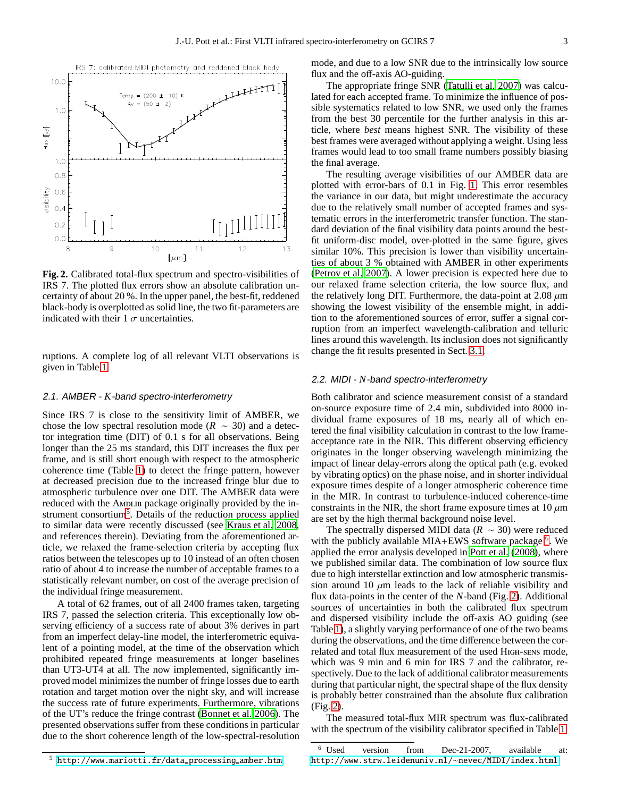

<span id="page-2-2"></span>**Fig. 2.** Calibrated total-flux spectrum and spectro-visibilities of IRS 7. The plotted flux errors show an absolute calibration uncertainty of about 20 %. In the upper panel, the best-fit, reddened black-body is overplotted as solid line, the two fit-parameters are indicated with their 1  $\sigma$  uncertainties.

ruptions. A complete log of all relevant VLTI observations is given in Table [1.](#page-1-2)

#### 2.1. AMBER - *K*-band spectro-interferometry

Since IRS 7 is close to the sensitivity limit of AMBER, we chose the low spectral resolution mode ( $R \sim 30$ ) and a detector integration time (DIT) of 0.1 s for all observations. Being longer than the 25 ms standard, this DIT increases the flux per frame, and is still short enough with respect to the atmospheric coherence time (Table [1\)](#page-1-2) to detect the fringe pattern, however at decreased precision due to the increased fringe blur due to atmospheric turbulence over one DIT. The AMBER data were reduced with the AMDLIB package originally provided by the in-strument consortium<sup>[5](#page-2-0)</sup>. Details of the reduction process applied to similar data were recently discussed (see [Kraus et al. 2008,](#page-5-16) and references therein). Deviating from the aforementioned article, we relaxed the frame-selection criteria by accepting flux ratios between the telescopes up to 10 instead of an often chosen ratio of about 4 to increase the number of acceptable frames to a statistically relevant number, on cost of the average precision of the individual fringe measurement.

A total of 62 frames, out of all 2400 frames taken, targeting IRS 7, passed the selection criteria. This exceptionally low observing efficiency of a success rate of about 3% derives in part from an imperfect delay-line model, the interferometric equivalent of a pointing model, at the time of the observation which prohibited repeated fringe measurements at longer baselines than UT3-UT4 at all. The now implemented, significantly improved model minimizes the number of fringe losses due to earth rotation and target motion over the night sky, and will increase the success rate of future experiments. Furthermore, vibrations of the UT's reduce the fringe contrast [\(Bonnet et al. 2006\)](#page-4-4). The presented observations suffer from these conditions in particular due to the short coherence length of the low-spectral-resolution mode, and due to a low SNR due to the intrinsically low source flux and the off-axis AO-guiding.

The appropriate fringe SNR [\(Tatulli et al. 2007\)](#page-5-17) was calculated for each accepted frame. To minimize the influence of possible systematics related to low SNR, we used only the frames from the best 30 percentile for the further analysis in this article, where *best* means highest SNR. The visibility of these best frames were averaged without applying a weight. Using less frames would lead to too small frame numbers possibly biasing the final average.

The resulting average visibilities of our AMBER data are plotted with error-bars of 0.1 in Fig. [1.](#page-1-6) This error resembles the variance in our data, but might underestimate the accuracy due to the relatively small number of accepted frames and systematic errors in the interferometric transfer function. The standard deviation of the final visibility data points around the bestfit uniform-disc model, over-plotted in the same figure, gives similar 10%. This precision is lower than visibility uncertainties of about 3 % obtained with AMBER in other experiments [\(Petrov et al. 2007\)](#page-5-15). A lower precision is expected here due to our relaxed frame selection criteria, the low source flux, and the relatively long DIT. Furthermore, the data-point at  $2.08 \mu m$ showing the lowest visibility of the ensemble might, in addition to the aforementioned sources of error, suffer a signal corruption from an imperfect wavelength-calibration and telluric lines around this wavelength. Its inclusion does not significantly change the fit results presented in Sect. [3.1.](#page-3-1)

#### 2.2. MIDI - *N*-band spectro-interferometry

Both calibrator and science measurement consist of a standard on-source exposure time of 2.4 min, subdivided into 8000 individual frame exposures of 18 ms, nearly all of which entered the final visibility calculation in contrast to the low frameacceptance rate in the NIR. This different observing efficiency originates in the longer observing wavelength minimizing the impact of linear delay-errors along the optical path (e.g. evoked by vibrating optics) on the phase noise, and in shorter individual exposure times despite of a longer atmospheric coherence time in the MIR. In contrast to turbulence-induced coherence-time constraints in the NIR, the short frame exposure times at  $10 \mu m$ are set by the high thermal background noise level.

The spectrally dispersed MIDI data (*R* ∼ 30) were reduced with the publicly available MIA+EWS software package <sup>[6](#page-2-1)</sup>. We applied the error analysis developed in [Pott et al.](#page-5-11) [\(2008\)](#page-5-11), where we published similar data. The combination of low source flux due to high interstellar extinction and low atmospheric transmission around 10  $\mu$ m leads to the lack of reliable visibility and flux data-points in the center of the *N*-band (Fig. [2\)](#page-2-2). Additional sources of uncertainties in both the calibrated flux spectrum and dispersed visibility include the off-axis AO guiding (see Table [1\)](#page-1-2), a slightly varying performance of one of the two beams during the observations, and the time difference between the correlated and total flux measurement of the used High-sens mode, which was 9 min and 6 min for IRS 7 and the calibrator, respectively. Due to the lack of additional calibrator measurements during that particular night, the spectral shape of the flux density is probably better constrained than the absolute flux calibration (Fig. [2\)](#page-2-2).

The measured total-flux MIR spectrum was flux-calibrated with the spectrum of the visibility calibrator specified in Table [1,](#page-1-2)

<span id="page-2-0"></span><sup>5</sup> [http://www.mariotti.fr/data](http://www.mariotti.fr/data_processing_amber.htm) processing amber.htm

<span id="page-2-1"></span><sup>6</sup> Used version from Dec-21-2007, available at: [http://www.strw.leidenuniv.nl/](http://www.strw.leidenuniv.nl/~nevec/MIDI/index.html)∼nevec/MIDI/index.html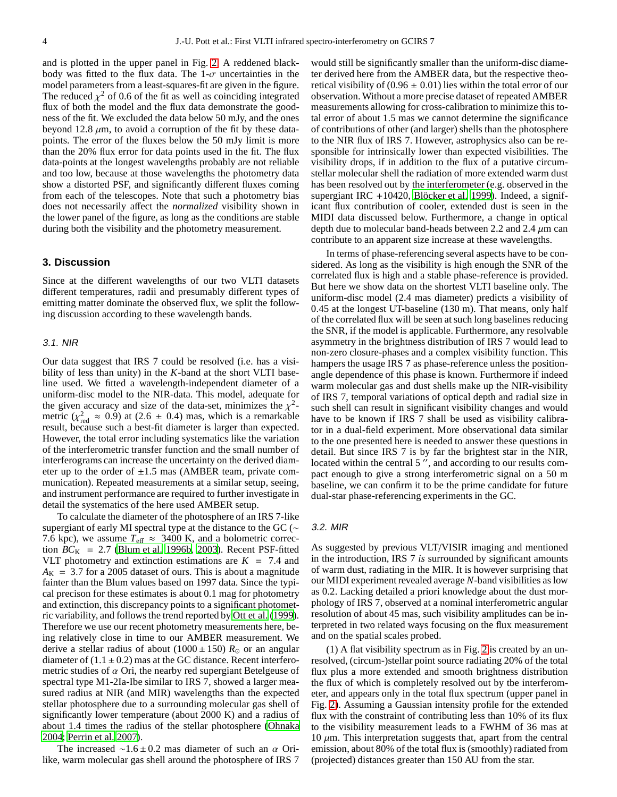and is plotted in the upper panel in Fig. [2.](#page-2-2) A reddened blackbody was fitted to the flux data. The  $1-\sigma$  uncertainties in the model parameters from a least-squares-fit are given in the figure. The reduced  $\chi^2$  of 0.6 of the fit as well as coinciding integrated flux of both the model and the flux data demonstrate the goodness of the fit. We excluded the data below 50 mJy, and the ones beyond 12.8  $\mu$ m, to avoid a corruption of the fit by these datapoints. The error of the fluxes below the 50 mJy limit is more than the 20% flux error for data points used in the fit. The flux data-points at the longest wavelengths probably are not reliable and too low, because at those wavelengths the photometry data show a distorted PSF, and significantly different fluxes coming from each of the telescopes. Note that such a photometry bias does not necessarily affect the *normalized* visibility shown in the lower panel of the figure, as long as the conditions are stable during both the visibility and the photometry measurement.

#### <span id="page-3-0"></span>**3. Discussion**

Since at the different wavelengths of our two VLTI datasets different temperatures, radii and presumably different types of emitting matter dominate the observed flux, we split the following discussion according to these wavelength bands.

#### <span id="page-3-1"></span>3.1. NIR

Our data suggest that IRS 7 could be resolved (i.e. has a visibility of less than unity) in the *K*-band at the short VLTI baseline used. We fitted a wavelength-independent diameter of a uniform-disc model to the NIR-data. This model, adequate for the given accuracy and size of the data-set, minimizes the  $\chi^2$ metric ( $\chi^2_{\text{red}} \approx 0.9$ ) at (2.6  $\pm$  0.4) mas, which is a remarkable result, because such a best-fit diameter is larger than expected. However, the total error including systematics like the variation of the interferometric transfer function and the small number of interferograms can increase the uncertainty on the derived diameter up to the order of  $\pm 1.5$  mas (AMBER team, private communication). Repeated measurements at a similar setup, seeing, and instrument performance are required to further investigate in detail the systematics of the here used AMBER setup.

To calculate the diameter of the photosphere of an IRS 7-like supergiant of early MI spectral type at the distance to the GC (∼ 7.6 kpc), we assume  $T_{\text{eff}} \approx 3400 \text{ K}$ , and a bolometric correction  $BC_K$  = 2.7 [\(Blum et al. 1996b,](#page-4-0) [2003\)](#page-4-5). Recent PSF-fitted VLT photometry and extinction estimations are  $K = 7.4$  and  $A_K$  = 3.7 for a 2005 dataset of ours. This is about a magnitude fainter than the Blum values based on 1997 data. Since the typical precison for these estimates is about 0.1 mag for photometry and extinction, this discrepancy points to a significant photometric variability, and follows the trend reported by [Ott et al.](#page-5-8) [\(1999](#page-5-8)). Therefore we use our recent photometry measurements here, being relatively close in time to our AMBER measurement. We derive a stellar radius of about (1000 ± 150)  $R_{\odot}$  or an angular diameter of  $(1.1 \pm 0.2)$  mas at the GC distance. Recent interferometric studies of  $\alpha$  Ori, the nearby red supergiant Betelgeuse of spectral type M1-2Ia-Ibe similar to IRS 7, showed a larger measured radius at NIR (and MIR) wavelengths than the expected stellar photosphere due to a surrounding molecular gas shell of significantly lower temperature (about 2000 K) and a radius of about 1.4 times the radius of the stellar photosphere [\(Ohnaka](#page-5-18) [2004](#page-5-18); [Perrin et al. 2007\)](#page-5-19).

The increased ~1.6 ± 0.2 mas diameter of such an  $\alpha$  Orilike, warm molecular gas shell around the photosphere of IRS 7 would still be significantly smaller than the uniform-disc diameter derived here from the AMBER data, but the respective theoretical visibility of  $(0.96 \pm 0.01)$  lies within the total error of our observation. Without a more precise dataset of repeated AMBER measurements allowing for cross-calibration to minimize this total error of about 1.5 mas we cannot determine the significance of contributions of other (and larger) shells than the photosphere to the NIR flux of IRS 7. However, astrophysics also can be responsible for intrinsically lower than expected visibilities. The visibility drops, if in addition to the flux of a putative circumstellar molecular shell the radiation of more extended warm dust has been resolved out by the interferometer (e.g. observed in the supergiant IRC +10420, Blöcker et al. 1999). Indeed, a significant flux contribution of cooler, extended dust is seen in the MIDI data discussed below. Furthermore, a change in optical depth due to molecular band-heads between 2.2 and 2.4  $\mu$ m can contribute to an apparent size increase at these wavelengths.

In terms of phase-referencing several aspects have to be considered. As long as the visibility is high enough the SNR of the correlated flux is high and a stable phase-reference is provided. But here we show data on the shortest VLTI baseline only. The uniform-disc model (2.4 mas diameter) predicts a visibility of 0.45 at the longest UT-baseline (130 m). That means, only half of the correlated flux will be seen at such long baselines reducing the SNR, if the model is applicable. Furthermore, any resolvable asymmetry in the brightness distribution of IRS 7 would lead to non-zero closure-phases and a complex visibility function. This hampers the usage IRS 7 as phase-reference unless the positionangle dependence of this phase is known. Furthermore if indeed warm molecular gas and dust shells make up the NIR-visibility of IRS 7, temporal variations of optical depth and radial size in such shell can result in significant visibility changes and would have to be known if IRS 7 shall be used as visibility calibrator in a dual-field experiment. More observational data similar to the one presented here is needed to answer these questions in detail. But since IRS 7 is by far the brightest star in the NIR, located within the central 5", and according to our results compact enough to give a strong interferometric signal on a 50 m baseline, we can confirm it to be the prime candidate for future dual-star phase-referencing experiments in the GC.

#### 3.2. MIR

As suggested by previous VLT/VISIR imaging and mentioned in the introduction, IRS 7 *is* surrounded by significant amounts of warm dust, radiating in the MIR. It is however surprising that our MIDI experiment revealed average *N*-band visibilities as low as 0.2. Lacking detailed a priori knowledge about the dust morphology of IRS 7, observed at a nominal interferometric angular resolution of about 45 mas, such visibility amplitudes can be interpreted in two related ways focusing on the flux measurement and on the spatial scales probed.

(1) A flat visibility spectrum as in Fig. [2](#page-2-2) is created by an unresolved, (circum-)stellar point source radiating 20% of the total flux plus a more extended and smooth brightness distribution the flux of which is completely resolved out by tbe interferometer, and appears only in the total flux spectrum (upper panel in Fig. [2\)](#page-2-2). Assuming a Gaussian intensity profile for the extended flux with the constraint of contributing less than 10% of its flux to the visibility measurement leads to a FWHM of 36 mas at  $10 \mu$ m. This interpretation suggests that, apart from the central emission, about 80% of the total flux is (smoothly) radiated from (projected) distances greater than 150 AU from the star.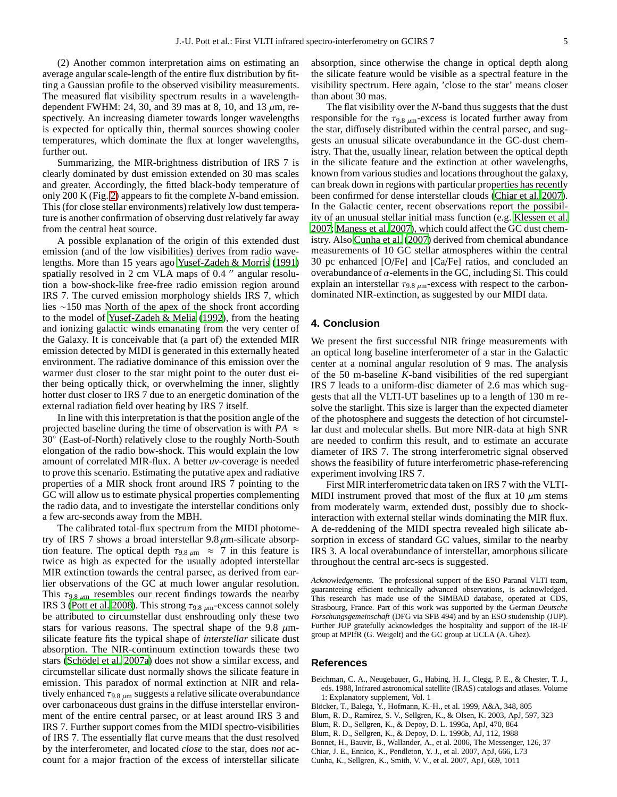(2) Another common interpretation aims on estimating an average angular scale-length of the entire flux distribution by fitting a Gaussian profile to the observed visibility measurements. The measured flat visibility spectrum results in a wavelengthdependent FWHM: 24, 30, and 39 mas at 8, 10, and 13  $\mu$ m, respectively. An increasing diameter towards longer wavelengths is expected for optically thin, thermal sources showing cooler temperatures, which dominate the flux at longer wavelengths, further out.

Summarizing, the MIR-brightness distribution of IRS 7 is clearly dominated by dust emission extended on 30 mas scales and greater. Accordingly, the fitted black-body temperature of only 200 K (Fig. [2\)](#page-2-2) appears to fit the complete *N*-band emission. This (for close stellar environments) relatively low dust temperature is another confirmation of observing dust relatively far away from the central heat source.

A possible explanation of the origin of this extended dust emission (and of the low visibilities) derives from radio wavelengths. More than 15 years ago [Yusef-Zadeh & Morris](#page-5-20) [\(1991\)](#page-5-20) spatially resolved in 2 cm VLA maps of 0.4  $^{\prime\prime}$  angular resolution a bow-shock-like free-free radio emission region around IRS 7. The curved emission morphology shields IRS 7, which lies ∼150 mas North of the apex of the shock front according to the model of [Yusef-Zadeh & Melia \(1992\)](#page-5-21), from the heating and ionizing galactic winds emanating from the very center of the Galaxy. It is conceivable that (a part of) the extended MIR emission detected by MIDI is generated in this externally heated environment. The radiative dominance of this emission over the warmer dust closer to the star might point to the outer dust either being optically thick, or overwhelming the inner, slightly hotter dust closer to IRS 7 due to an energetic domination of the external radiation field over heating by IRS 7 itself.

In line with this interpretation is that the position angle of the projected baseline during the time of observation is with  $PA \approx$ 30° (East-of-North) relatively close to the roughly North-South elongation of the radio bow-shock. This would explain the low amount of correlated MIR-flux. A better *uv*-coverage is needed to prove this scenario. Estimating the putative apex and radiative properties of a MIR shock front around IRS 7 pointing to the GC will allow us to estimate physical properties complementing the radio data, and to investigate the interstellar conditions only a few arc-seconds away from the MBH.

The calibrated total-flux spectrum from the MIDI photometry of IRS 7 shows a broad interstellar  $9.8 \mu$ m-silicate absorption feature. The optical depth  $\tau_{9.8 \mu m} \approx 7$  in this feature is twice as high as expected for the usually adopted interstellar MIR extinction towards the central parsec, as derived from earlier observations of the GC at much lower angular resolution. This  $\tau_{9.8 \mu m}$  resembles our recent findings towards the nearby IRS 3 [\(Pott et al. 2008](#page-5-11)). This strong  $\tau_{9.8 \mu m}$ -excess cannot solely be attributed to circumstellar dust enshrouding only these two stars for various reasons. The spectral shape of the 9.8  $\mu$ msilicate feature fits the typical shape of *interstellar* silicate dust absorption. The NIR-continuum extinction towards these two stars (Schödel et al. 2007a) does not show a similar excess, and circumstellar silicate dust normally shows the silicate feature in emission. This paradox of normal extinction at NIR and relatively enhanced  $\tau_{9.8 \mu m}$  suggests a relative silicate overabundance over carbonaceous dust grains in the diffuse interstellar environment of the entire central parsec, or at least around IRS 3 and IRS 7. Further support comes from the MIDI spectro-visibilities of IRS 7. The essentially flat curve means that the dust resolved by the interferometer, and located *close* to the star, does *not* account for a major fraction of the excess of interstellar silicate

absorption, since otherwise the change in optical depth along the silicate feature would be visible as a spectral feature in the visibility spectrum. Here again, 'close to the star' means closer than about 30 mas.

The flat visibility over the *N*-band thus suggests that the dust responsible for the  $\tau_{9.8 \mu m}$ -excess is located further away from the star, diffusely distributed within the central parsec, and suggests an unusual silicate overabundance in the GC-dust chemistry. That the, usually linear, relation between the optical depth in the silicate feature and the extinction at other wavelengths, known from various studies and locations throughout the galaxy, can break down in regions with particular properties has recently been confirmed for dense interstellar clouds [\(Chiar et al. 2007\)](#page-4-7). In the Galactic center, recent observations report the possibility of an unusual stellar initial mass function (e.g. [Klessen et al.](#page-5-23) [2007;](#page-5-23) [Maness et al. 2007\)](#page-5-24), which could affect the GC dust chemistry. Also [Cunha et al. \(2007\)](#page-4-8) derived from chemical abundance measurements of 10 GC stellar atmospheres within the central 30 pc enhanced [O/Fe] and [Ca/Fe] ratios, and concluded an overabundance of  $\alpha$ -elements in the GC, including Si. This could explain an interstellar  $\tau_{9.8 \mu m}$ -excess with respect to the carbondominated NIR-extinction, as suggested by our MIDI data.

#### <span id="page-4-3"></span>**4. Conclusion**

We present the first successful NIR fringe measurements with an optical long baseline interferometer of a star in the Galactic center at a nominal angular resolution of 9 mas. The analysis of the 50 m-baseline *K*-band visibilities of the red supergiant IRS 7 leads to a uniform-disc diameter of 2.6 mas which suggests that all the VLTI-UT baselines up to a length of 130 m resolve the starlight. This size is larger than the expected diameter of the photosphere and suggests the detection of hot circumstellar dust and molecular shells. But more NIR-data at high SNR are needed to confirm this result, and to estimate an accurate diameter of IRS 7. The strong interferometric signal observed shows the feasibility of future interferometric phase-referencing experiment involving IRS 7.

First MIR interferometric data taken on IRS 7 with the VLTI-MIDI instrument proved that most of the flux at 10  $\mu$ m stems from moderately warm, extended dust, possibly due to shockinteraction with external stellar winds dominating the MIR flux. A de-reddening of the MIDI spectra revealed high silicate absorption in excess of standard GC values, similar to the nearby IRS 3. A local overabundance of interstellar, amorphous silicate throughout the central arc-secs is suggested.

*Acknowledgements.* The professional support of the ESO Paranal VLTI team, guaranteeing efficient technically advanced observations, is acknowledged. This research has made use of the SIMBAD database, operated at CDS, Strasbourg, France. Part of this work was supported by the German *Deutsche Forschungsgemeinschaft* (DFG via SFB 494) and by an ESO studentship (JUP). Further JUP gratefully acknowledges the hospitality and support of the IR-IF group at MPIfR (G. Weigelt) and the GC group at UCLA (A. Ghez).

#### **References**

- <span id="page-4-2"></span>Beichman, C. A., Neugebauer, G., Habing, H. J., Clegg, P. E., & Chester, T. J., eds. 1988, Infrared astronomical satellite (IRAS) catalogs and atlases. Volume 1: Explanatory supplement, Vol. 1
- <span id="page-4-6"></span>Blöcker, T., Balega, Y., Hofmann, K.-H., et al. 1999, A&A, 348, 805
- <span id="page-4-5"></span>Blum, R. D., Ramírez, S. V., Sellgren, K., & Olsen, K. 2003, ApJ, 597, 323
- <span id="page-4-1"></span>Blum, R. D., Sellgren, K., & Depoy, D. L. 1996a, ApJ, 470, 864
- <span id="page-4-0"></span>Blum, R. D., Sellgren, K., & Depoy, D. L. 1996b, AJ, 112, 1988
- <span id="page-4-4"></span>Bonnet, H., Bauvir, B., Wallander, A., et al. 2006, The Messenger, 126, 37
- <span id="page-4-7"></span>Chiar, J. E., Ennico, K., Pendleton, Y. J., et al. 2007, ApJ, 666, L73
- <span id="page-4-8"></span>Cunha, K., Sellgren, K., Smith, V. V., et al. 2007, ApJ, 669, 1011